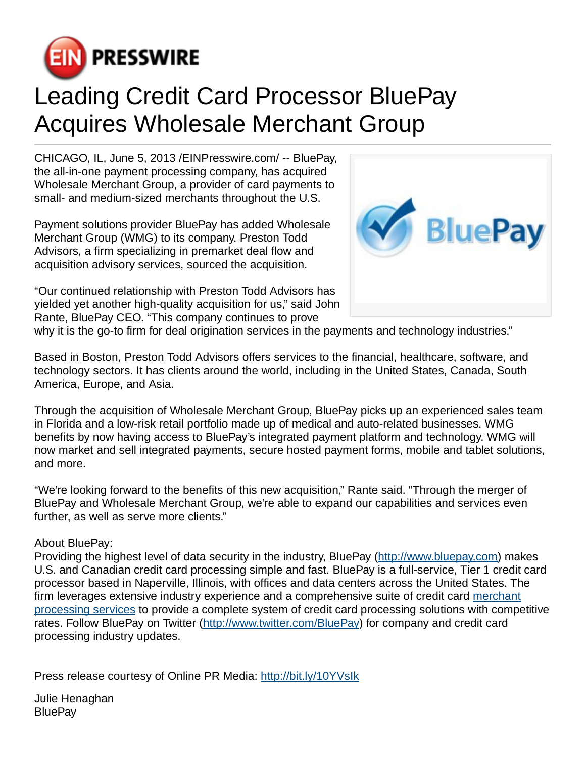

## Leading Credit Card Processor BluePay Acquires Wholesale Merchant Group

CHICAGO, IL, June 5, 2013 [/EINPresswire.com](http://www.einpresswire.com)/ -- BluePay, the all-in-one payment processing company, has acquired Wholesale Merchant Group, a provider of card payments to small- and medium-sized merchants throughout the U.S.

Payment solutions provider BluePay has added Wholesale Merchant Group (WMG) to its company. Preston Todd Advisors, a firm specializing in premarket deal flow and acquisition advisory services, sourced the acquisition.

"Our continued relationship with Preston Todd Advisors has yielded yet another high-quality acquisition for us," said John Rante, BluePay CEO. "This company continues to prove



why it is the go-to firm for deal origination services in the payments and technology industries."

Based in Boston, Preston Todd Advisors offers services to the financial, healthcare, software, and technology sectors. It has clients around the world, including in the United States, Canada, South America, Europe, and Asia.

Through the acquisition of Wholesale Merchant Group, BluePay picks up an experienced sales team in Florida and a low-risk retail portfolio made up of medical and auto-related businesses. WMG benefits by now having access to BluePay's integrated payment platform and technology. WMG will now market and sell integrated payments, secure hosted payment forms, mobile and tablet solutions, and more.

"We're looking forward to the benefits of this new acquisition," Rante said. "Through the merger of BluePay and Wholesale Merchant Group, we're able to expand our capabilities and services even further, as well as serve more clients."

## About BluePay:

Providing the highest level of data security in the industry, BluePay [\(http://www.bluepay.com](http://www.bluepay.com)) makes U.S. and Canadian credit card processing simple and fast. BluePay is a full-service, Tier 1 credit card processor based in Naperville, Illinois, with offices and data centers across the United States. The firm leverages extensive industry experience and a comprehensive suite of credit card [merchant](http://www.bluepay.com/processing-services) [processing services](http://www.bluepay.com/processing-services) to provide a complete system of credit card processing solutions with competitive rates. Follow BluePay on Twitter [\(http://www.twitter.com/BluePay](http://www.twitter.com/BluePay)) for company and credit card processing industry updates.

Press release courtesy of Online PR Media: <http://bit.ly/10YVsIk>

Julie Henaghan **BluePay**